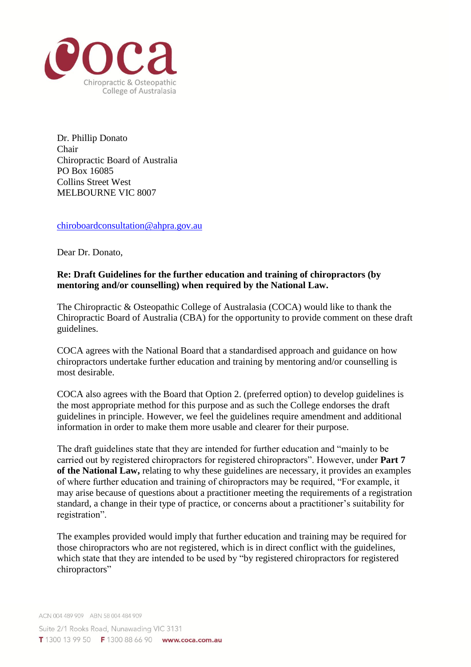

Dr. Phillip Donato Chair Chiropractic Board of Australia PO Box 16085 Collins Street West MELBOURNE VIC 8007

[chiroboardconsultation@ahpra.gov.au](mailto:chiroboardconsultation@ahpra.gov.au)

Dear Dr. Donato,

## **Re: Draft Guidelines for the further education and training of chiropractors (by mentoring and/or counselling) when required by the National Law.**

The Chiropractic & Osteopathic College of Australasia (COCA) would like to thank the Chiropractic Board of Australia (CBA) for the opportunity to provide comment on these draft guidelines.

COCA agrees with the National Board that a standardised approach and guidance on how chiropractors undertake further education and training by mentoring and/or counselling is most desirable.

COCA also agrees with the Board that Option 2. (preferred option) to develop guidelines is the most appropriate method for this purpose and as such the College endorses the draft guidelines in principle. However, we feel the guidelines require amendment and additional information in order to make them more usable and clearer for their purpose.

The draft guidelines state that they are intended for further education and "mainly to be carried out by registered chiropractors for registered chiropractors". However, under **Part 7 of the National Law,** relating to why these guidelines are necessary, it provides an examples of where further education and training of chiropractors may be required, "For example, it may arise because of questions about a practitioner meeting the requirements of a registration standard, a change in their type of practice, or concerns about a practitioner's suitability for registration".

The examples provided would imply that further education and training may be required for those chiropractors who are not registered, which is in direct conflict with the guidelines, which state that they are intended to be used by "by registered chiropractors for registered chiropractors"